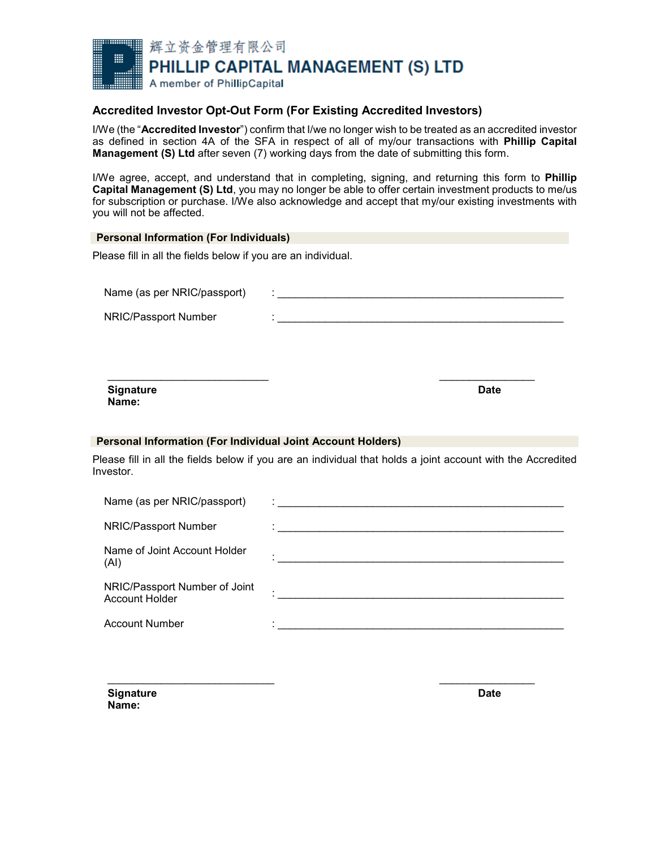

## **Accredited Investor Opt-Out Form (For Existing Accredited Investors)**

I/We (the "**Accredited Investor**") confirm that I/we no longer wish to be treated as an accredited investor as defined in section 4A of the SFA in respect of all of my/our transactions with **Phillip Capital Management (S) Ltd** after seven (7) working days from the date of submitting this form.

I/We agree, accept, and understand that in completing, signing, and returning this form to **Phillip Capital Management (S) Ltd**, you may no longer be able to offer certain investment products to me/us for subscription or purchase. I/We also acknowledge and accept that my/our existing investments with you will not be affected.

| <b>Personal Information (For Individuals)</b>                      |                                                                                                             |             |
|--------------------------------------------------------------------|-------------------------------------------------------------------------------------------------------------|-------------|
| Please fill in all the fields below if you are an individual.      |                                                                                                             |             |
| Name (as per NRIC/passport)                                        |                                                                                                             |             |
| NRIC/Passport Number                                               |                                                                                                             |             |
|                                                                    |                                                                                                             |             |
|                                                                    |                                                                                                             |             |
| <b>Signature</b><br>Name:                                          |                                                                                                             | <b>Date</b> |
| <b>Personal Information (For Individual Joint Account Holders)</b> |                                                                                                             |             |
| Investor.                                                          | Please fill in all the fields below if you are an individual that holds a joint account with the Accredited |             |
| Name (as per NRIC/passport)                                        |                                                                                                             |             |
| NRIC/Passport Number                                               |                                                                                                             |             |
| Name of Joint Account Holder<br>(AI)                               | <u> 1989 - Johann John Harry, margaret eta idazlear (h. 1989).</u>                                          |             |
| NRIC/Passport Number of Joint                                      |                                                                                                             |             |

Account Holder : \_\_\_\_\_\_\_\_\_\_\_\_\_\_\_\_\_\_\_\_\_\_\_\_\_\_\_\_\_\_\_\_\_\_\_\_\_\_\_\_\_\_\_\_\_\_\_\_

 $\frac{1}{2}$  ,  $\frac{1}{2}$  ,  $\frac{1}{2}$  ,  $\frac{1}{2}$  ,  $\frac{1}{2}$  ,  $\frac{1}{2}$  ,  $\frac{1}{2}$  ,  $\frac{1}{2}$  ,  $\frac{1}{2}$  ,  $\frac{1}{2}$  ,  $\frac{1}{2}$  ,  $\frac{1}{2}$  ,  $\frac{1}{2}$  ,  $\frac{1}{2}$  ,  $\frac{1}{2}$  ,  $\frac{1}{2}$  ,  $\frac{1}{2}$  ,  $\frac{1}{2}$  ,  $\frac{1$ 

Account Number

**Signature Date Name:**